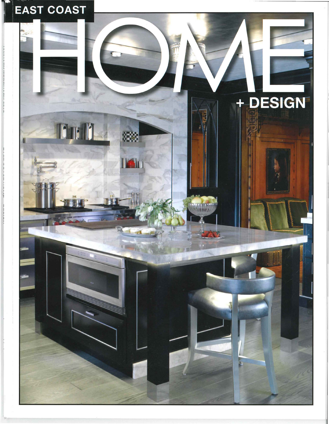